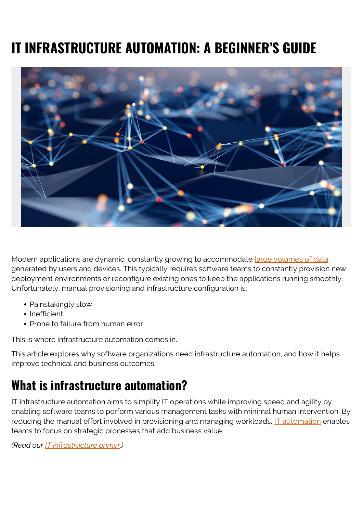# **IT INFRASTRUCTURE AUTOMATION: A BEGINNER'S GUIDE**



Modern applications are dynamic, constantly growing to accommodate [large volumes of data](https://blogs.bmc.com/blogs/big-data/) generated by users and devices. This typically requires software teams to constantly provision new deployment environments or reconfigure existing ones to keep the applications running smoothly. Unfortunately, manual provisioning and infrastructure configuration is:

- Painstakingly slow
- Inefficient
- Prone to failure from human error

This is where infrastructure automation comes in.

This article explores why software organizations need infrastructure automation, and how it helps improve technical and business outcomes.

# **What is infrastructure automation?**

IT infrastructure automation aims to simplify IT operations while improving speed and agility by enabling software teams to perform various management tasks with minimal human intervention. By reducing the manual effort involved in provisioning and managing workloads, [IT automation](https://blogs.bmc.com/blogs/it-automation/) enables teams to focus on strategic processes that add business value.

*(Read our [IT infrastructure primer](https://blogs.bmc.com/blogs/what-is-it-infrastructure-and-what-are-its-components/).)*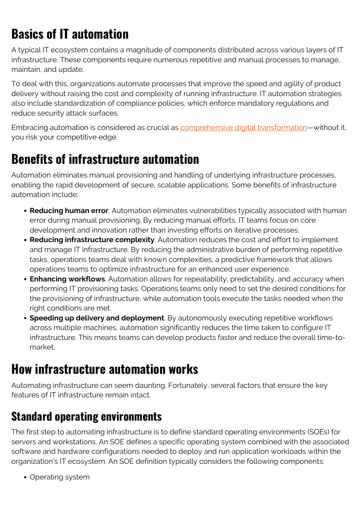# **Basics of IT automation**

A typical IT ecosystem contains a magnitude of components distributed across various layers of IT infrastructure. These components require numerous repetitive and manual processes to manage, maintain, and update.

To deal with this, organizations automate processes that improve the speed and agility of product delivery without raising the cost and complexity of running infrastructure. IT automation strategies also include standardization of compliance policies, which enforce mandatory regulations and reduce security attack surfaces.

Embracing automation is considered as crucial as [comprehensive digital transformation—](https://blogs.bmc.com/blogs/what-is-digital-transformation/)without it, you risk your competitive edge.

### **Benefits of infrastructure automation**

Automation eliminates manual provisioning and handling of underlying infrastructure processes, enabling the rapid development of secure, scalable applications. Some benefits of infrastructure automation include:

- **Reducing human error**. Automation eliminates vulnerabilities typically associated with human error during manual provisioning. By reducing manual efforts, IT teams focus on core development and innovation rather than investing efforts on iterative processes.
- **Reducing infrastructure complexity**. Automation reduces the cost and effort to implement and manage IT infrastructure. By reducing the administrative burden of performing repetitive tasks, operations teams deal with known complexities, a predictive framework that allows operations teams to optimize infrastructure for an enhanced user experience.
- **Enhancing workflows**. Automation allows for repeatability, predictability, and accuracy when performing IT provisioning tasks. Operations teams only need to set the desired conditions for the provisioning of infrastructure, while automation tools execute the tasks needed when the right conditions are met.
- **Speeding up delivery and deployment**. By autonomously executing repetitive workflows across multiple machines, automation significantly reduces the time taken to configure IT infrastructure. This means teams can develop products faster and reduce the overall time-tomarket.

# **How infrastructure automation works**

Automating infrastructure can seem daunting. Fortunately, several factors that ensure the key features of IT infrastructure remain intact.

### **Standard operating environments**

The first step to automating infrastructure is to define standard operating environments (SOEs) for servers and workstations. An SOE defines a specific operating system combined with the associated software and hardware configurations needed to deploy and run application workloads within the organization's IT ecosystem. An SOE definition typically considers the following components:

• Operating system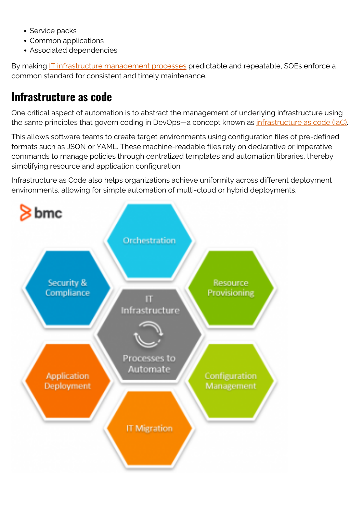- Service packs
- Common applications
- Associated dependencies

By making [IT infrastructure management processes](https://blogs.bmc.com/blogs/it-infrastructure-management/) predictable and repeatable, SOEs enforce a common standard for consistent and timely maintenance.

### **Infrastructure as code**

One critical aspect of automation is to abstract the management of underlying infrastructure using the same principles that govern coding in DevOps—a concept known as *[infrastructure as code \(IaC\)](https://blogs.bmc.com/blogs/infrastructure-as-code/)*.

This allows software teams to create target environments using configuration files of pre-defined formats such as JSON or YAML. These machine-readable files rely on declarative or imperative commands to manage policies through centralized templates and automation libraries, thereby simplifying resource and application configuration.

Infrastructure as Code also helps organizations achieve uniformity across different deployment environments, allowing for simple automation of multi-cloud or hybrid deployments.

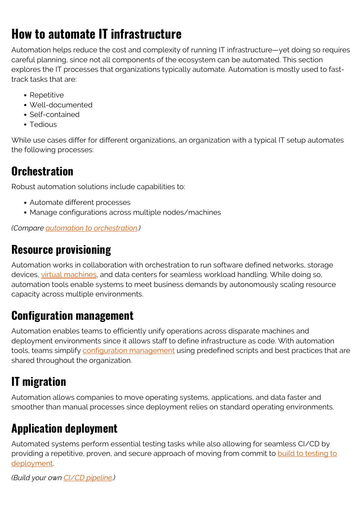# **How to automate IT infrastructure**

Automation helps reduce the cost and complexity of running IT infrastructure—yet doing so requires careful planning, since not all components of the ecosystem can be automated. This section explores the IT processes that organizations typically automate. Automation is mostly used to fasttrack tasks that are:

- Repetitive
- Well-documented
- Self-contained
- Tedious

While use cases differ for different organizations, an organization with a typical IT setup automates the following processes:

### **Orchestration**

Robust automation solutions include capabilities to:

- Automate different processes
- Manage configurations across multiple nodes/machines

*(Compare [automation to orchestration](https://blogs.bmc.com/blogs/it-orchestration-vs-automation-whats-the-difference/).)*

#### **Resource provisioning**

Automation works in collaboration with orchestration to run software defined networks, storage devices, [virtual machines](https://blogs.bmc.com/blogs/containers-vs-virtual-machines/), and data centers for seamless workload handling. While doing so, automation tools enable systems to meet business demands by autonomously scaling resource capacity across multiple environments.

#### **Configuration management**

Automation enables teams to efficiently unify operations across disparate machines and deployment environments since it allows staff to define infrastructure as code. With automation tools, teams simplify [configuration management](https://blogs.bmc.com/blogs/devops-configuration-management/) using predefined scripts and best practices that are shared throughout the organization.

### **IT migration**

Automation allows companies to move operating systems, applications, and data faster and smoother than manual processes since deployment relies on standard operating environments.

### **Application deployment**

Automated systems perform essential testing tasks while also allowing for seamless CI/CD by providing a repetitive, proven, and secure approach of moving from commit to [build to testing to](https://blogs.bmc.com/blogs/deployment-automation-benefits/) [deployment.](https://blogs.bmc.com/blogs/deployment-automation-benefits/)

*(Build your own [CI/CD pipeline.](https://blogs.bmc.com/blogs/ci-cd-pipeline-setup))*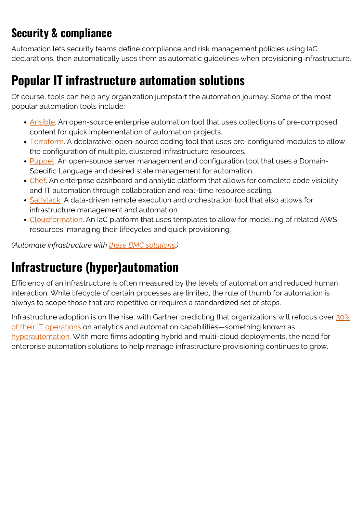### **Security & compliance**

Automation lets security teams define compliance and risk management policies using IaC declarations, then automatically uses them as automatic guidelines when provisioning infrastructure.

### **Popular IT infrastructure automation solutions**

Of course, tools can help any organization jumpstart the automation journey. Some of the most popular automation tools include:

- [Ansible](https://www.redhat.com/en/technologies/management/ansible). An open-source enterprise automation tool that uses collections of pre-composed content for quick implementation of automation projects.
- [Terraform](https://www.terraform.io/). A declarative, open-source coding tool that uses pre-configured modules to allow the configuration of multiple, clustered infrastructure resources.
- [Puppet](https://puppet.com/docs/puppet/6/puppet_overview.html). An open-source server management and configuration tool that uses a Domain-Specific Language and desired state management for automation.
- [Chef.](https://www.chef.io/products/chef-automate) An enterprise dashboard and analytic platform that allows for complete code visibility and IT automation through collaboration and real-time resource scaling.
- [Saltstack](https://saltproject.io/). A data-driven remote execution and orchestration tool that also allows for infrastructure management and automation.
- [Cloudformation.](https://aws.amazon.com/cloudformation/) An IaC platform that uses templates to allow for modelling of related AWS resources, managing their lifecycles and quick provisioning.

*(Automate infrastructure with [these BMC solutions](https://blogs.bmc.com/blogs/forrester-wave-infrastructure-automation-platforms/).)*

# **Infrastructure (hyper)automation**

Efficiency of an infrastructure is often measured by the levels of automation and reduced human interaction. While lifecycle of certain processes are limited, the rule of thumb for automation is always to scope those that are repetitive or requires a standardized set of steps.

Infrastructure adoption is on the rise, with Gartner predicting that organizations will refocus over [30%](https://www.gartner.com/en/newsroom/press-releases/2021-04-28-gartner-forecasts-worldwide-hyperautomation-enabling-software-market-to-reach-nearly-600-billion-by-2022) [of their IT operations](https://www.gartner.com/en/newsroom/press-releases/2021-04-28-gartner-forecasts-worldwide-hyperautomation-enabling-software-market-to-reach-nearly-600-billion-by-2022) on analytics and automation capabilities—something known as [hyperautomation](https://blogs.bmc.com/blogs/hyper-automation/). With more firms adopting hybrid and multi-cloud deployments, the need for enterprise automation solutions to help manage infrastructure provisioning continues to grow.